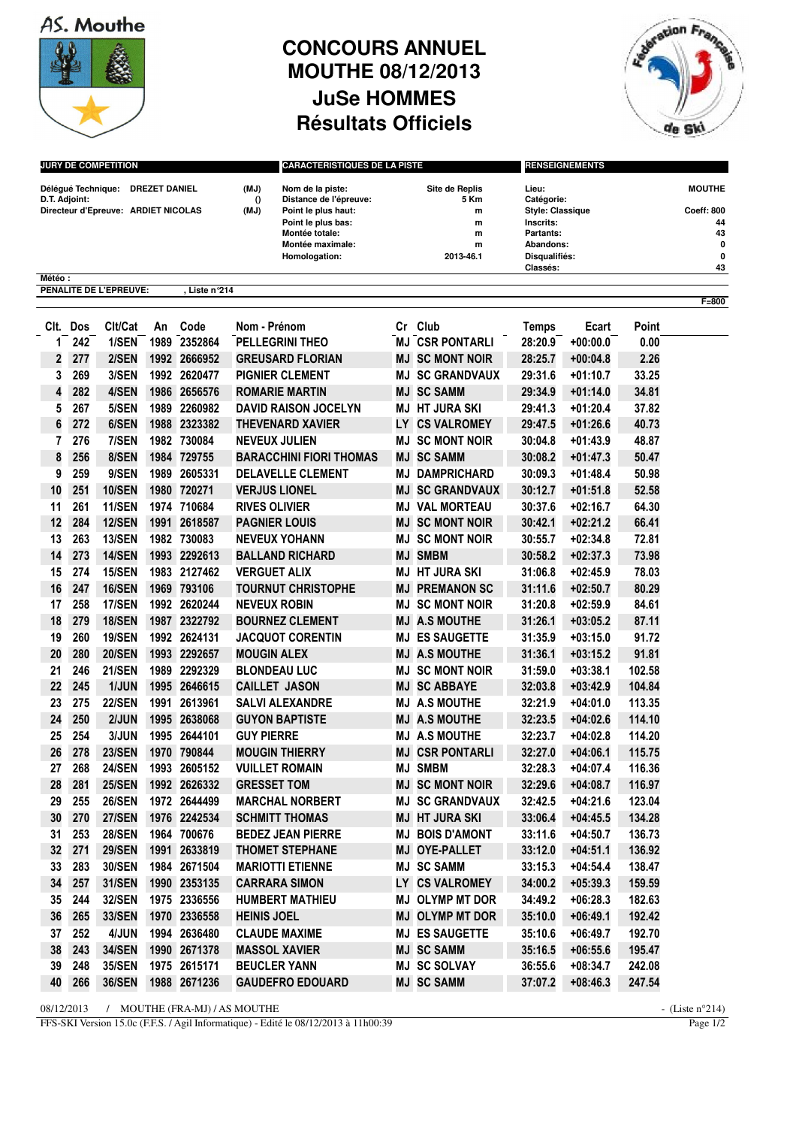AS. Mouthe



## **CONCOURS ANNUEL MOUTHE 08/12/2013 JuSe HOMMES Résultats Officiels**



| <b>JURY DE COMPETITION</b> |            |                                                                         |      |                              | <b>CARACTERISTIQUES DE LA PISTE</b> |                                                                   |                                    |                        | <b>RENSEIGNEMENTS</b>                          |                          |                  |                             |  |
|----------------------------|------------|-------------------------------------------------------------------------|------|------------------------------|-------------------------------------|-------------------------------------------------------------------|------------------------------------|------------------------|------------------------------------------------|--------------------------|------------------|-----------------------------|--|
| D.T. Adjoint:              |            | Délégué Technique: DREZET DANIEL<br>Directeur d'Epreuve: ARDIET NICOLAS |      |                              | (MJ)<br>$\Omega$<br>(MJ)            | Nom de la piste:<br>Distance de l'épreuve:<br>Point le plus haut: | <b>Site de Replis</b><br>5 Km<br>m |                        | Lieu:<br>Catégorie:<br><b>Style: Classique</b> |                          |                  | <b>MOUTHE</b><br>Coeff: 800 |  |
|                            |            |                                                                         |      |                              |                                     | Point le plus bas:<br>Montée totale:<br>Montée maximale:          |                                    | m                      | Inscrits:                                      |                          |                  | 44<br>43<br>0               |  |
|                            |            |                                                                         |      |                              |                                     |                                                                   |                                    | m<br>m                 | Partants:<br>Abandons:                         |                          |                  |                             |  |
|                            |            |                                                                         |      |                              | Homologation:                       |                                                                   | 2013-46.1                          |                        | Disqualifiés:                                  |                          |                  | $\mathbf 0$                 |  |
| Météo :                    |            |                                                                         |      |                              |                                     |                                                                   |                                    |                        | Classés:                                       |                          |                  | 43                          |  |
|                            |            | PENALITE DE L'EPREUVE:                                                  |      | . Liste n°214                |                                     |                                                                   |                                    |                        |                                                |                          |                  |                             |  |
|                            |            |                                                                         |      |                              |                                     |                                                                   |                                    |                        |                                                |                          |                  | $F = 800$                   |  |
|                            | Clt. Dos   | Clt/Cat                                                                 | An   | Code                         | Nom - Prénom                        |                                                                   | Cr                                 | Club                   | <b>Temps</b>                                   | Ecart                    | Point            |                             |  |
| 1                          | 242        | 1/SEN                                                                   | 1989 | 2352864                      |                                     | <b>PELLEGRINI THEO</b>                                            | MJ                                 | <b>CSR PONTARLI</b>    | 28:20.9                                        | $+00:00.0$               | 0.00             |                             |  |
| 2                          | 277        | 2/SEN                                                                   |      | 1992 2666952                 |                                     | <b>GREUSARD FLORIAN</b>                                           | ΜJ                                 | <b>SC MONT NOIR</b>    | 28:25.7                                        | $+00:04.8$               | 2.26             |                             |  |
| 3                          | 269        | 3/SEN                                                                   |      | 1992 2620477                 |                                     | <b>PIGNIER CLEMENT</b>                                            | MJ                                 | <b>SC GRANDVAUX</b>    | 29:31.6                                        | $+01:10.7$               | 33.25            |                             |  |
| 4                          | 282        | 4/SEN                                                                   | 1986 | 2656576                      |                                     | <b>ROMARIE MARTIN</b>                                             | MJ                                 | <b>SC SAMM</b>         | 29:34.9                                        | $+01:14.0$               | 34.81            |                             |  |
| 5                          | 267        | 5/SEN                                                                   | 1989 | 2260982                      |                                     | <b>DAVID RAISON JOCELYN</b>                                       | ΜJ                                 | <b>HT JURA SKI</b>     | 29:41.3                                        | $+01:20.4$               | 37.82            |                             |  |
| 6                          | 272        | 6/SEN                                                                   | 1988 | 2323382                      |                                     | <b>THEVENARD XAVIER</b>                                           | LY                                 | <b>CS VALROMEY</b>     | 29:47.5                                        | $+01:26.6$               | 40.73            |                             |  |
| 7                          | 276        | 7/SEN                                                                   |      | 1982 730084                  |                                     | <b>NEVEUX JULIEN</b>                                              | ΜJ                                 | <b>SC MONT NOIR</b>    | 30:04.8                                        | $+01:43.9$               | 48.87            |                             |  |
| 8                          | 256        | 8/SEN                                                                   | 1984 | 729755                       |                                     | <b>BARACCHINI FIORI THOMAS</b>                                    | MJ                                 | <b>SC SAMM</b>         | 30:08.2                                        | $+01:47.3$               | 50.47            |                             |  |
| 9                          | 259        | 9/SEN                                                                   | 1989 | 2605331                      |                                     | <b>DELAVELLE CLEMENT</b>                                          | MJ                                 | <b>DAMPRICHARD</b>     | 30:09.3                                        | $+01:48.4$               | 50.98            |                             |  |
| 10                         | 251        | <b>10/SEN</b>                                                           | 1980 | 720271                       |                                     | <b>VERJUS LIONEL</b>                                              | MJ                                 | <b>SC GRANDVAUX</b>    | 30:12.7                                        | $+01:51.8$               | 52.58            |                             |  |
| 11                         | 261        | <b>11/SEN</b>                                                           |      | 1974 710684                  |                                     | <b>RIVES OLIVIER</b>                                              | MJ.                                | <b>VAL MORTEAU</b>     | 30:37.6                                        | $+02:16.7$               | 64.30            |                             |  |
| 12                         | 284        | <b>12/SEN</b>                                                           | 1991 | 2618587                      |                                     | <b>PAGNIER LOUIS</b>                                              | MJ                                 | <b>SC MONT NOIR</b>    | 30:42.1                                        | $+02:21.2$               | 66.41            |                             |  |
| 13                         | 263        | <b>13/SEN</b>                                                           |      | 1982 730083                  |                                     | <b>NEVEUX YOHANN</b>                                              | MJ                                 | <b>SC MONT NOIR</b>    | 30:55.7                                        | $+02:34.8$               | 72.81            |                             |  |
| 14                         | 273        | <b>14/SEN</b>                                                           | 1993 | 2292613                      |                                     | <b>BALLAND RICHARD</b>                                            | MJ                                 | <b>SMBM</b>            | 30:58.2                                        | $+02:37.3$               | 73.98            |                             |  |
| 15                         | 274        | <b>15/SEN</b>                                                           |      | 1983 2127462                 |                                     | <b>VERGUET ALIX</b>                                               | MJ                                 | <b>HT JURA SKI</b>     | 31:06.8                                        | $+02:45.9$               | 78.03            |                             |  |
| 16                         | 247        | <b>16/SEN</b>                                                           | 1969 | 793106                       |                                     | <b>TOURNUT CHRISTOPHE</b>                                         | MJ                                 | <b>PREMANON SC</b>     | 31:11.6                                        | $+02:50.7$               | 80.29            |                             |  |
| 17                         | 258        | <b>17/SEN</b>                                                           |      | 1992 2620244                 |                                     | <b>NEVEUX ROBIN</b>                                               | ΜJ                                 | <b>SC MONT NOIR</b>    | 31:20.8                                        | $+02:59.9$               | 84.61            |                             |  |
| 18                         | 279        | <b>18/SEN</b>                                                           | 1987 | 2322792                      |                                     | <b>BOURNEZ CLEMENT</b>                                            | MJ                                 | <b>A.S MOUTHE</b>      | 31:26.1                                        | $+03:05.2$               | 87.11            |                             |  |
| 19                         | 260        | <b>19/SEN</b>                                                           | 1992 | 2624131                      |                                     | <b>JACQUOT CORENTIN</b>                                           | ΜJ                                 | <b>ES SAUGETTE</b>     | 31:35.9                                        | $+03:15.0$               | 91.72            |                             |  |
| 20                         | 280        | <b>20/SEN</b>                                                           | 1993 | 2292657                      | <b>MOUGIN ALEX</b>                  |                                                                   | ΜJ                                 | <b>A.S MOUTHE</b>      | 31:36.1                                        | $+03:15.2$               | 91.81            |                             |  |
| 21                         | 246        | <b>21/SEN</b>                                                           | 1989 | 2292329                      |                                     | <b>BLONDEAU LUC</b>                                               | MJ                                 | <b>SC MONT NOIR</b>    | 31:59.0                                        | $+03:38.1$               | 102.58           |                             |  |
| 22                         | 245        | 1/JUN                                                                   | 1995 | 2646615                      |                                     | <b>CAILLET JASON</b>                                              | MJ                                 | <b>SC ABBAYE</b>       | 32:03.8                                        | $+03:42.9$               | 104.84           |                             |  |
| 23                         | 275        | <b>22/SEN</b>                                                           | 1991 | 2613961                      |                                     | <b>SALVI ALEXANDRE</b>                                            | MJ                                 | <b>A.S MOUTHE</b>      | 32:21.9                                        | $+04:01.0$               | 113.35           |                             |  |
| 24                         | 250        | 2/JUN                                                                   | 1995 | 2638068                      |                                     | <b>GUYON BAPTISTE</b>                                             | MJ                                 | <b>A.S MOUTHE</b>      | 32:23.5                                        | $+04:02.6$               | 114.10           |                             |  |
| 25                         | 254        | 3/JUN                                                                   | 1995 | 2644101                      | <b>GUY PIERRE</b>                   |                                                                   | ΜJ                                 | <b>A.S MOUTHE</b>      | 32:23.7                                        | $+04:02.8$               | 114.20           |                             |  |
| 26                         | 278        | <b>23/SEN</b>                                                           | 1970 | 790844                       |                                     | <b>MOUGIN THIERRY</b>                                             | ΜJ                                 | <b>CSR PONTARLI</b>    | 32:27.0                                        | $+04:06.1$               | 115.75           |                             |  |
|                            |            |                                                                         |      |                              |                                     |                                                                   |                                    | <b>MJ SMBM</b>         | 32:28.3                                        | $+04:07.4$               | 116.36           |                             |  |
| 27<br>28                   | 268<br>281 | <b>24/SEN</b><br><b>25/SEN</b>                                          |      | 1993 2605152<br>1992 2626332 |                                     | <b>VUILLET ROMAIN</b><br><b>GRESSET TOM</b>                       |                                    | <b>MJ SC MONT NOIR</b> | 32:29.6                                        | $+04:08.7$               | 116.97           |                             |  |
| 29                         | 255        | <b>26/SEN</b>                                                           |      | 1972 2644499                 |                                     |                                                                   |                                    | <b>MJ SC GRANDVAUX</b> | 32:42.5                                        | $+04:21.6$               | 123.04           |                             |  |
| 30                         | 270        | <b>27/SEN</b>                                                           |      | 1976 2242534                 |                                     | <b>MARCHAL NORBERT</b><br><b>SCHMITT THOMAS</b>                   |                                    | <b>MJ HT JURA SKI</b>  | 33:06.4                                        | $+04:45.5$               | 134.28           |                             |  |
|                            | 253        | <b>28/SEN</b>                                                           |      | 1964 700676                  |                                     | <b>BEDEZ JEAN PIERRE</b>                                          |                                    | <b>MJ BOIS D'AMONT</b> | 33:11.6                                        | $+04:50.7$               | 136.73           |                             |  |
| 31<br>32                   | 271        | <b>29/SEN</b>                                                           |      | 1991 2633819                 |                                     |                                                                   |                                    | <b>MJ OYE-PALLET</b>   | 33:12.0                                        |                          | 136.92           |                             |  |
|                            |            |                                                                         |      |                              |                                     | <b>THOMET STEPHANE</b><br><b>MARIOTTI ETIENNE</b>                 |                                    | <b>MJ SC SAMM</b>      |                                                | $+04:51.1$               |                  |                             |  |
| 33<br>34                   | 283        | <b>30/SEN</b><br><b>31/SEN</b>                                          |      | 1984 2671504                 |                                     |                                                                   |                                    | LY CS VALROMEY         | 33:15.3                                        | $+04:54.4$               | 138.47           |                             |  |
| 35                         | 257<br>244 |                                                                         |      | 1990 2353135<br>1975 2336556 |                                     | <b>CARRARA SIMON</b><br><b>HUMBERT MATHIEU</b>                    |                                    | <b>MJ OLYMP MT DOR</b> | 34:00.2                                        | $+05:39.3$<br>$+06:28.3$ | 159.59<br>182.63 |                             |  |
| 36                         |            | <b>32/SEN</b><br><b>33/SEN</b>                                          |      | 1970 2336558                 |                                     |                                                                   |                                    | <b>MJ OLYMP MT DOR</b> | 34:49.2                                        |                          |                  |                             |  |
|                            | 265        |                                                                         |      |                              | <b>HEINIS JOEL</b>                  |                                                                   |                                    |                        | 35:10.0                                        | $+06:49.1$               | 192.42           |                             |  |
| 37                         | 252        | 4/JUN                                                                   |      | 1994 2636480                 |                                     | <b>CLAUDE MAXIME</b>                                              |                                    | <b>MJ ES SAUGETTE</b>  | 35:10.6                                        | $+06:49.7$               | 192.70           |                             |  |
| 38                         | 243        | <b>34/SEN</b>                                                           |      | 1990 2671378                 |                                     | <b>MASSOL XAVIER</b>                                              |                                    | <b>MJ SC SAMM</b>      | 35:16.5                                        | $+06:55.6$               | 195.47           |                             |  |
| 39                         | 248        | <b>35/SEN</b>                                                           |      | 1975 2615171                 |                                     | <b>BEUCLER YANN</b>                                               |                                    | <b>MJ SC SOLVAY</b>    | 36:55.6                                        | $+08:34.7$               | 242.08           |                             |  |
| 40                         | 266        | <b>36/SEN</b>                                                           |      | 1988 2671236                 |                                     | <b>GAUDEFRO EDOUARD</b>                                           |                                    | <b>MJ SC SAMM</b>      | 37:07.2                                        | $+08:46.3$               | 247.54           |                             |  |

08/12/2013 / MOUTHE (FRA-MJ) / AS MOUTHE<br>FFS-SKI Version 15.0c (F.F.S. / Agil Informatique) - Edité le 08/12/2013 à 11h00:39 Page 1/2 FFS-SKI Version 15.0c (F.F.S. / Agil Informatique) - Edité le 08/12/2013 à 11h00:39